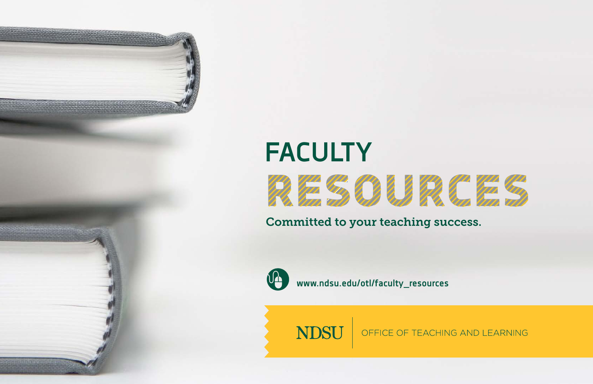

Committed to your teaching success.



**www.ndsu.edu/otl/faculty\_resources**

**NDSU** 

OFFICE OF TEACHING AND LEARNING